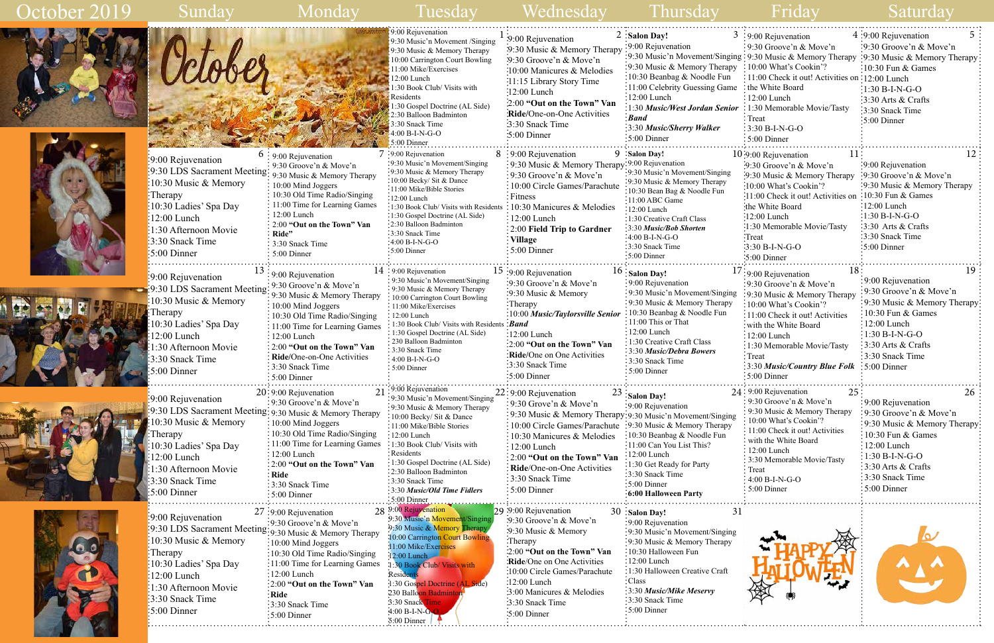|                                   | 5<br>$4:9:00$ Rejuvenation                                                                                                                                                                                                                                                                                                                                                                                             |
|-----------------------------------|------------------------------------------------------------------------------------------------------------------------------------------------------------------------------------------------------------------------------------------------------------------------------------------------------------------------------------------------------------------------------------------------------------------------|
|                                   | :9:30 Groove'n $& \text{Move'}n$                                                                                                                                                                                                                                                                                                                                                                                       |
|                                   |                                                                                                                                                                                                                                                                                                                                                                                                                        |
|                                   |                                                                                                                                                                                                                                                                                                                                                                                                                        |
|                                   | 10:30 Fun & Games                                                                                                                                                                                                                                                                                                                                                                                                      |
|                                   |                                                                                                                                                                                                                                                                                                                                                                                                                        |
|                                   | :1:30 B-I-N-G-O                                                                                                                                                                                                                                                                                                                                                                                                        |
|                                   | 3:30 Arts & Crafts                                                                                                                                                                                                                                                                                                                                                                                                     |
|                                   | 3:30 Snack Time                                                                                                                                                                                                                                                                                                                                                                                                        |
|                                   | 5:00 Dinner                                                                                                                                                                                                                                                                                                                                                                                                            |
|                                   |                                                                                                                                                                                                                                                                                                                                                                                                                        |
|                                   | .                                                                                                                                                                                                                                                                                                                                                                                                                      |
| $11^{\circ}$                      | 12                                                                                                                                                                                                                                                                                                                                                                                                                     |
| $\cdot$ 9:30 Groove'n & Move'n    | :9:00 Rejuvenation                                                                                                                                                                                                                                                                                                                                                                                                     |
| :9:30 Music & Memory Therapy      | 9:30 Groove'n & Move'n                                                                                                                                                                                                                                                                                                                                                                                                 |
| :10:00 What's Cookin'?            | 9:30 Music & Memory Therapy                                                                                                                                                                                                                                                                                                                                                                                            |
| 11:00 Check it out! Activities on | 10:30 Fun & Games                                                                                                                                                                                                                                                                                                                                                                                                      |
| the White Board                   | $12:00$ Lunch                                                                                                                                                                                                                                                                                                                                                                                                          |
| $:12:00$ Lunch                    | :1:30 B-I-N-G-O                                                                                                                                                                                                                                                                                                                                                                                                        |
| :1:30 Memorable Movie/Tasty       | 3:30 Arts & Crafts                                                                                                                                                                                                                                                                                                                                                                                                     |
| :Treat                            | 3:30 Snack Time                                                                                                                                                                                                                                                                                                                                                                                                        |
| :3:30 B-I-N-G-O                   | 5:00 Dinner                                                                                                                                                                                                                                                                                                                                                                                                            |
| :5:00 Dinner                      | .                                                                                                                                                                                                                                                                                                                                                                                                                      |
| 18                                | 19                                                                                                                                                                                                                                                                                                                                                                                                                     |
|                                   | 9:00 Rejuvenation                                                                                                                                                                                                                                                                                                                                                                                                      |
|                                   | 9:30 Groove'n & Move'n                                                                                                                                                                                                                                                                                                                                                                                                 |
| 10:00 What's Cookin'?             | 9:30 Music & Memory Therapy?                                                                                                                                                                                                                                                                                                                                                                                           |
|                                   |                                                                                                                                                                                                                                                                                                                                                                                                                        |
|                                   |                                                                                                                                                                                                                                                                                                                                                                                                                        |
| 11:00 Check it out! Activities    | 10:30 Fun & Games                                                                                                                                                                                                                                                                                                                                                                                                      |
| with the White Board              | 12:00 Lunch                                                                                                                                                                                                                                                                                                                                                                                                            |
| $12:00$ Lunch                     | $1:30 B-I-N-G-O$                                                                                                                                                                                                                                                                                                                                                                                                       |
| 1:30 Memorable Movie/Tasty        | 3:30 Arts & Crafts                                                                                                                                                                                                                                                                                                                                                                                                     |
| Treat                             | 3:30 Snack Time                                                                                                                                                                                                                                                                                                                                                                                                        |
| 3:30 Music/Country Blue Folk      | 5:00 Dinner                                                                                                                                                                                                                                                                                                                                                                                                            |
| 5:00 Dinner                       |                                                                                                                                                                                                                                                                                                                                                                                                                        |
| 25<br>$24:9:00$ Rejuvenation      | 26                                                                                                                                                                                                                                                                                                                                                                                                                     |
| 9:30 Groove'n & Move'n            | 9:00 Rejuvenation                                                                                                                                                                                                                                                                                                                                                                                                      |
| 9:30 Music & Memory Therapy       | 9:30 Groove'n & Move'n                                                                                                                                                                                                                                                                                                                                                                                                 |
| 10:00 What's Cookin'?             | 9:30 Music & Memory Therapy:                                                                                                                                                                                                                                                                                                                                                                                           |
| 11:00 Check it out! Activities    | 10:30 Fun & Games                                                                                                                                                                                                                                                                                                                                                                                                      |
| with the White Board              | 12:00 Lunch                                                                                                                                                                                                                                                                                                                                                                                                            |
| 12:00 Lunch                       | $1:30 B-I-N-G-O$                                                                                                                                                                                                                                                                                                                                                                                                       |
| 3:30 Memorable Movie/Tasty        | 3:30 Arts & Crafts                                                                                                                                                                                                                                                                                                                                                                                                     |
| Treat                             | 3:30 Snack Time                                                                                                                                                                                                                                                                                                                                                                                                        |
| 4:00 B-I-N-G-O<br>5:00 Dinner     | 5:00 Dinner                                                                                                                                                                                                                                                                                                                                                                                                            |
|                                   | : 9:00 Rejuvenation<br>9:30 Groove'n & Move'n<br>ing: 9:30 Music & Memory Therapy: 9:30 Music & Memory Therapy<br>10:00 What's Cookin'?<br>11:00 Check it out! Activities on :12:00 Lunch<br>the White Board<br>$12:00$ Lunch<br>: 1:30 Memorable Movie/Tasty<br>Treat<br>3:30 B-I-N-G-O<br>$:5:00$ Dinner<br>10:9:00 Rejuvenation<br>$17:9:00$ Rejuvenation<br>9:30 Groove'n & Move'n<br>:9:30 Music & Memory Therapy |





| Sunday                                                                                                                                                                                                                                                 |                                                                                                                                                                                                                                                                                                                                                        | Tuesday                                                                                                                                                                                                                                                                                                                                                             | Wednesday                                                                                                                                                                                                                                                                                                                                                       | <b>Thursday</b>                                                                                                                                                                                                                                                                                                             | Friday                                                                                                                                                                                                                                                                                                                                | Saturday                                                                                                                                                                                                                        |
|--------------------------------------------------------------------------------------------------------------------------------------------------------------------------------------------------------------------------------------------------------|--------------------------------------------------------------------------------------------------------------------------------------------------------------------------------------------------------------------------------------------------------------------------------------------------------------------------------------------------------|---------------------------------------------------------------------------------------------------------------------------------------------------------------------------------------------------------------------------------------------------------------------------------------------------------------------------------------------------------------------|-----------------------------------------------------------------------------------------------------------------------------------------------------------------------------------------------------------------------------------------------------------------------------------------------------------------------------------------------------------------|-----------------------------------------------------------------------------------------------------------------------------------------------------------------------------------------------------------------------------------------------------------------------------------------------------------------------------|---------------------------------------------------------------------------------------------------------------------------------------------------------------------------------------------------------------------------------------------------------------------------------------------------------------------------------------|---------------------------------------------------------------------------------------------------------------------------------------------------------------------------------------------------------------------------------|
|                                                                                                                                                                                                                                                        |                                                                                                                                                                                                                                                                                                                                                        | 9:00 Rejuvenation<br>9:30 Music'n Movement /Singing<br>9:30 Music & Memory Therapy<br>10:00 Carrington Court Bowling<br>11:00 Mike/Exercises<br>12:00 Lunch<br>1:30 Book Club/ Visits with<br>Residents<br>1:30 Gospel Doctrine (AL Side)<br>2:30 Balloon Badminton<br>3:30 Snack Time<br>4:00 B-I-N-G-O<br>5:00 Dinner                                             | :9:00 Rejuvenation<br>:9:30 Music & Memory Therapy<br>:9:30 Groove'n & Move'n<br>:10:00 Manicures & Melodies<br>:11:15 Library Story Time<br>:12:00 Lunch<br>:2:00 "Out on the Town" Van<br><b>Ride/One-on-One Activities</b><br>3:30 Snack Time<br>$\cdot 5:00$ Dinner                                                                                         | $2:$ Salon Day!<br>:9:00 Rejuvenation<br>:9:30 Music & Memory Therapy : 10:00 What's Cookin'?<br>:10:30 Beanbag $\&$ Noodle Fun<br>:11:00 Celebrity Guessing Game: the White Board<br>$:12:00$ Lunch<br>1:30 Music/West Jordan Senior : 1:30 Memorable Movie/Tasty<br>: Band<br>:3:30 Music/Sherry Walker<br>$:5:00$ Dinner | $3:9:00$ Rejuvenation<br>: 9:30 Groove'n & Move'n<br>:9:30 Music'n Movement/Singing : 9:30 Music & Memory Therapy<br>$\frac{1}{2}$ 11:00 Check it out! Activities on :12:00 Lunch<br>$\div 12:00$ Lunch<br>$\frac{1}{2}$ Treat<br>$: 3:30 B-I-N-G-O$<br>$:5:00$ Dinner                                                                | 4 :9:00 Rejuvenation<br>:9:30 Groove'n & Move'n<br>:9:30 Music & Memory Therapy<br>:10:30 Fun & Games<br>$:1:30 B-I-N-G-O$<br>:3:30 Arts & Crafts<br>3:30 Snack Time<br>:5:00 Dinner                                            |
| 9:00 Rejuvenation<br>$\frac{1}{2}9.30$ LDS Sacrament Meeting: $9.30$ Music & Memory Therapy<br>:10:30 Music & Memory<br>:Therapy<br>:10:30 Ladies' Spa Day<br>$:12:00$ Lunch<br>1:30 Afternoon Movie<br>$\frac{1}{2}$ :30 Snack Time<br>$:5:00$ Dinner | $6:9:00$ Rejuvenation<br>$\frac{1}{2}$ 9:30 Groove'n & Move'n<br>: 10:00 Mind Joggers<br>$\frac{1}{2}$ 10:30 Old Time Radio/Singing<br>: 11:00 Time for Learning Games<br>12:00 Lunch<br>: 2:00 "Out on the Town" Van<br>. Ride"<br>$\frac{1}{2}$ 3:30 Snack Time<br>$\frac{1}{2}$ 5:00 Dinner                                                         | $7:9:00$ Rejuvenation<br>:9:30 Music'n Movement/Singing<br>:9:30 Music & Memory Therapy<br>:10:00 Becky/ Sit & Dance<br>:11:00 Mike/Bible Stories<br>$:12:00$ Lunch<br>:1:30 Book Club/ Visits with Residents<br>:1:30 Gospel Doctrine (AL Side)<br>•2:30 Balloon Badminton<br>:3:30 Snack Time<br>$-4:00 B-I-N-G-O$<br>:5:00 Dinner                                | $8:9:00$ Rejuvenation<br>$\frac{1}{2}$ 9:30 Music & Memory Therapy<br>$\frac{1}{2}$ 9:30 Groove'n & Move'n<br>10:00 Circle Games/Parachute<br>: Fitness<br>$\therefore$ 10:30 Manicures & Melodies<br>$: 12:00$ Lunch<br>: 2:00 Field Trip to Gardner<br>Village<br>$:5:00$ Dinner                                                                              | 9 ∶Salon Day!<br>:9:00 Rejuvenation<br>:9:30 Music'n Movement/Singing<br>:9:30 Music & Memory Therapy<br>10:30 Bean Bag & Noodle Fun<br>$\cdot$ 11:00 ABC Game<br>:12:00 Lunch<br>$\frac{1}{2}$ 1:30 Creative Craft Class<br>:3:30 Music/Bob Shorten<br>:4:00 B-I-N-G-O<br>∙3:30 Snack Time<br>:5:00 Dinner                 | $10:9:00$ Rejuvenation<br>$\cdot 9:30$ Groove'n & Move'n<br>:9:30 Music & Memory Therapy<br>:10:00 What's Cookin'?<br>:11:00 Check it out! Activities on<br>the White Board<br>:12:00 Lunch<br>:1:30 Memorable Movie/Tasty<br>:Treat<br>$:3:30 B-I-N-G-O$<br>$\frac{1}{2}$ :00 Dinner                                                 | $\frac{1}{2}9:00$ Rejuvenation<br>:9:30 Groove'n & Move'n<br>:9:30 Music & Memory Therapy<br>$:10:30$ Fun & Games<br>:12:00 Lunch<br>$:1:30 B-I-N-G-O$<br>$:3:30$ Arts & Crafts<br>:3:30 Snack Time<br>$\frac{1}{2}$ :00 Dinner |
| $\frac{1}{2}9:00$ Rejuvenation<br>9:30 LDS Sacrament Meeting:<br>10:30 Music & Memory<br>Therapy<br>10:30 Ladies' Spa Day<br>2:00 Lunch<br>:30 Afternoon Movie<br>3:30 Snack Time<br>$:5:00$ Dinner                                                    | $\frac{1}{2}9:00$ Rejuvenation<br>$\frac{1}{2}$ 9:30 Groove'n & Move'n<br>9:30 Music & Memory Therapy<br>10:00 Mind Joggers<br>: 10:30 Old Time Radio/Singing<br>: 11:00 Time for Learning Games<br>$: 12:00$ Lunch<br>$\frac{1}{2}$ 2:00 "Out on the Town" Van<br>: Ride/One-on-One Activities<br>$\frac{1}{2}$ 3:30 Snack Time<br>$\div$ 5:00 Dinner | $14:9:00$ Rejuvenation<br>: 9:30 Music'n Movement/Singing<br>: 9:30 Music & Memory Therapy<br>: 10:00 Carrington Court Bowling<br>: 11:00 Mike/Exercises<br>$: 12:00$ Lunch<br>$\cdot$ 1:30 Book Club/ Visits with Residents : Band<br>: 1:30 Gospel Doctrine (AL Side)<br>: 230 Balloon Badminton<br>: 3:30 Snack Time<br>$\cdot$ 4:00 B-I-N-G-O<br>: 5:00 Dinner  | $15:9:00$ Rejuvenation<br>$\frac{1}{2}$ :30 Groove'n & Move'n<br>:9:30 Music & Memory<br>:Therapy<br>:10:00 Music/Taylorsville Senior<br>$:12:00$ Lunch<br>:2:00 "Out on the Town" Van<br>:Ride/One on One Activities<br>:3:30 Snack Time<br>$\frac{1}{2}$ :00 Dinner                                                                                           | $16:$ Salon Day!<br>: 9:00 Rejuvenation<br>:9:30 Music'n Movement/Singing<br>: 9:30 Music & Memory Therapy<br>: 10:30 Beanbag & Noodle Fun<br>: 11:00 This or That<br>$: 12:00$ Lunch<br>1:30 Creative Craft Class<br>:3:30 Music/Debra Bowers<br>: 3:30 Snack Time<br>$:5:00$ Dinner                                       | 18:<br>$\frac{1}{2}9:00$ Rejuvenation<br>:9:30 Groove'n & Move'n<br>:9:30 Music & Memory Therapy<br>:10:00 What's Cookin'?<br>:11:00 Check it out! Activities<br>: with the White Board<br>$: 12:00$ Lunch<br>$\frac{1}{2}$ 1:30 Memorable Movie/Tasty<br>$:$ Treat<br>3:30 Music/Country Blue Folk 5:00 Dinner<br>$\div 5:00$ Dinner | 19<br>:9:00 Rejuvenation<br>:9:30 Groove'n & Move'n<br>:9:30 Music & Memory Therapy<br>10:30 Fun & Games<br>$\frac{1}{2}12:00$ Lunch<br>$\div 1:30 B-I-N-G-O$<br>$\frac{1}{2}$ :30 Arts & Crafts<br>3:30 Snack Time             |
| 9:00 Rejuvenation<br>9:30 LDS Sacrament Meeting: 9:30 Music & Memory Therapy<br>10:30 Music & Memory<br>Therapy<br>10:30 Ladies' Spa Day<br>12:00 Lunch<br>:30 Afternoon Movie<br>3:30 Snack Time<br>$\frac{1}{2}5:00$ Dinner                          | $20:9:00$ Rejuvenation<br>$\frac{1}{2}$ 9:30 Groove'n & Move'n<br>$\frac{1}{2}10:00$ Mind Joggers<br>: 10:30 Old Time Radio/Singing<br>: 11:00 Time for Learning Games<br>$:12:00$ Lunch<br>: 2:00 "Out on the Town" Van<br>: Ride<br>: 3:30 Snack Time<br>$\frac{1}{2}$ 5:00 Dinner                                                                   | :00 Rejuvenation<br>: 9:30 Music'n Movement/Singing<br>:9:30 Music & Memory Therapy<br>: 10:00 Becky/ Sit & Dance<br>:11:00 Mike/Bible Stories<br>:12:00 Lunch<br>$\cdot$ 1:30 Book Club/Visits with<br>: Residents<br>: 1:30 Gospel Doctrine (AL Side)<br>:2:30 Balloon Badminton<br>:3:30 Snack Time<br>:3:30 Music/Old Time Fidlers<br>$\frac{1}{2}$ 5:00 Dinner | $22:9:00$ Rejuvenation<br>$\frac{1}{2}$ 9:30 Grove'n & Move'n<br>: 9:30 Music & Memory Therapy: 9:30 Music'n Movement/Singing<br>: 10:00 Circle Games/Parachute :9:30 Music & Memory Therapy<br>: 10:30 Manicures & Melodies<br>$\frac{1}{2}$ :00 Lunch<br>: 2:00 "Out on the Town" Van<br>: Ride/One-on-One Activities<br>: 3:30 Snack Time<br>: $5:00$ Dinner | $23$ : Salon Day!<br><b>•9:00 Rejuvenation</b><br>:10:30 Beanbag & Noodle Fun<br>$\frac{1}{2}11:00$ Can You List This?<br>$:12:00$ Lunch<br>:1:30 Get Ready for Party<br>3:30 Snack Time<br>5:00 Dinner<br>:6:00 Halloween Party                                                                                            | $24:9:00$ Rejuvenation<br>25<br>$\frac{1}{2}$ 9:30 Groove'n & Move'n<br>: 9:30 Music & Memory Therapy<br>10:00 What's Cookin'?<br>: 11:00 Check it out! Activities<br>with the White Board<br>12:00 Lunch<br>: 3:30 Memorable Movie/Tasty<br>Treat<br>4:00 B-I-N-G-O<br>5:00 Dinner                                                   | 26<br>:9:00 Rejuvenation<br>$\frac{1}{2}$ 9:30 Groove'n & Move'n<br>:9:30 Music & Memory Therapy<br>$: 10:30$ Fun & Games<br>$: 12:00$ Lunch<br>$:1:30 B-I-N-G-O$<br>$3.30$ Arts & Crafts<br>:3:30 Snack Time<br>$:5:00$ Dinner |
| $\cdot$ 9:00 Rejuvenation<br>9:30 LDS Sacrament Meeting: 9:30 Music & Memory Therapy<br>10:30 Music & Memory<br>:Therapy<br>:10:30 Ladies' Spa Day<br>12:00 Lunch<br>$\frac{1}{2}$ 1:30 Afternoon Movie<br>3:30 Snack Time<br>$:5:00$ Dinner           | $27:9:00$ Rejuvenation<br>$\frac{1}{2}$ 9:30 Groove'n & Move'n<br>$\frac{10:00 \text{ Mind} \text{ Joggers}}{10:00 \text{ Mind} \text{ Joggers}}$<br>:10:30 Old Time Radio/Singing<br>:11:00 Time for Learning Games<br>:12:00 Lunch<br>:2:00 "Out on the Town" Van<br>:Ride<br>:3:30 Snack Time<br>$\frac{1}{2}$ 5:00 Dinner                          | 28 9:00 Rejuvenation<br>9:30 Music'n Movement/Singing<br>9:30 Music & Memory Therapy<br>10:00 Carrington Court Bowling<br>11:00 Mike/Exercises<br>$12:00$ Lunch<br>1:30 Book Club/ Visits with<br>Residents<br>1:30 Gospel Doctrine (AL Side)<br>230 Balloon Badminto<br>3:30 Snack Time<br>$4:00 B-I-N-G$<br>5∙00 Dinneı                                           | 29 :9:00 Rejuvenation<br>:9:30 Groove'n $\&$ Move'n<br>$\cdot$ 9:30 Music & Memory<br>:Therapy<br>2:00 "Out on the Town" Van<br>Ride/One on One Activities<br>:10:00 Circle Games/Parachute<br>:12:00 Lunch<br>3:00 Manicures & Melodies<br>:3:30 Snack Time<br>5:00 Dinner                                                                                     | 30 :Salon Day!<br>31<br>$\frac{1}{2}9:00$ Rejuvenation<br>:9:30 Music'n Movement/Singing<br>:9:30 Music & Memory Therapy<br>:10:30 Halloween Fun<br>$:12:00$ Lunch<br>:1:30 Halloween Creative Craft<br>:Class<br>:3:30 Music/Mike Meservy<br>$\frac{1}{2}$ 3:30 Snack Time<br>$:5:00$ Dinner                               |                                                                                                                                                                                                                                                                                                                                       |                                                                                                                                                                                                                                 |

| October 2019 |  |
|--------------|--|
|              |  |